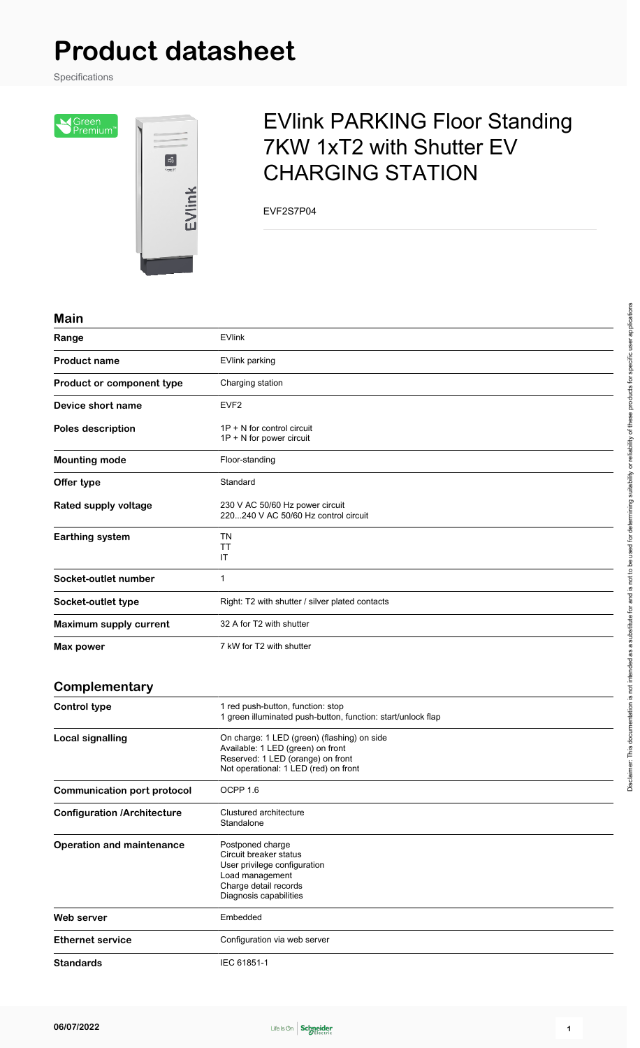# **Product datasheet**

Specifications

SGreen<br>Premium<sup>®</sup>



## EVlink PARKING Floor Standing 7KW 1xT2 with Shutter EV CHARGING STATION

EVF2S7P04

#### **Main**

| Range                              | <b>EVlink</b>                                                                                                                                                  |
|------------------------------------|----------------------------------------------------------------------------------------------------------------------------------------------------------------|
| <b>Product name</b>                | <b>EVlink parking</b>                                                                                                                                          |
| Product or component type          | Charging station                                                                                                                                               |
| Device short name                  | EVF <sub>2</sub>                                                                                                                                               |
| Poles description                  | $1P + N$ for control circuit<br>$1P + N$ for power circuit                                                                                                     |
| <b>Mounting mode</b>               | Floor-standing                                                                                                                                                 |
| Offer type                         | Standard                                                                                                                                                       |
| Rated supply voltage               | 230 V AC 50/60 Hz power circuit<br>220240 V AC 50/60 Hz control circuit                                                                                        |
| <b>Earthing system</b>             | TN<br>TT<br>IT                                                                                                                                                 |
| Socket-outlet number               | $\mathbf{1}$                                                                                                                                                   |
| Socket-outlet type                 | Right: T2 with shutter / silver plated contacts                                                                                                                |
| <b>Maximum supply current</b>      | 32 A for T2 with shutter                                                                                                                                       |
| Max power                          | 7 kW for T2 with shutter                                                                                                                                       |
| Complementary                      |                                                                                                                                                                |
| <b>Control type</b>                | 1 red push-button, function: stop<br>1 green illuminated push-button, function: start/unlock flap                                                              |
| <b>Local signalling</b>            | On charge: 1 LED (green) (flashing) on side<br>Available: 1 LED (green) on front<br>Reserved: 1 LED (orange) on front<br>Not operational: 1 LED (red) on front |
| <b>Communication port protocol</b> | OCPP 1.6                                                                                                                                                       |
| <b>Configuration /Architecture</b> | Clustured architecture<br>Standalone                                                                                                                           |
| <b>Operation and maintenance</b>   | Postponed charge<br>Circuit breaker status<br>User privilege configuration<br>Load management<br>Charge detail records<br>Diagnosis capabilities               |
| <b>Web server</b>                  | Embedded                                                                                                                                                       |
| <b>Ethernet service</b>            | Configuration via web server                                                                                                                                   |
| <b>Standards</b>                   | IEC 61851-1                                                                                                                                                    |